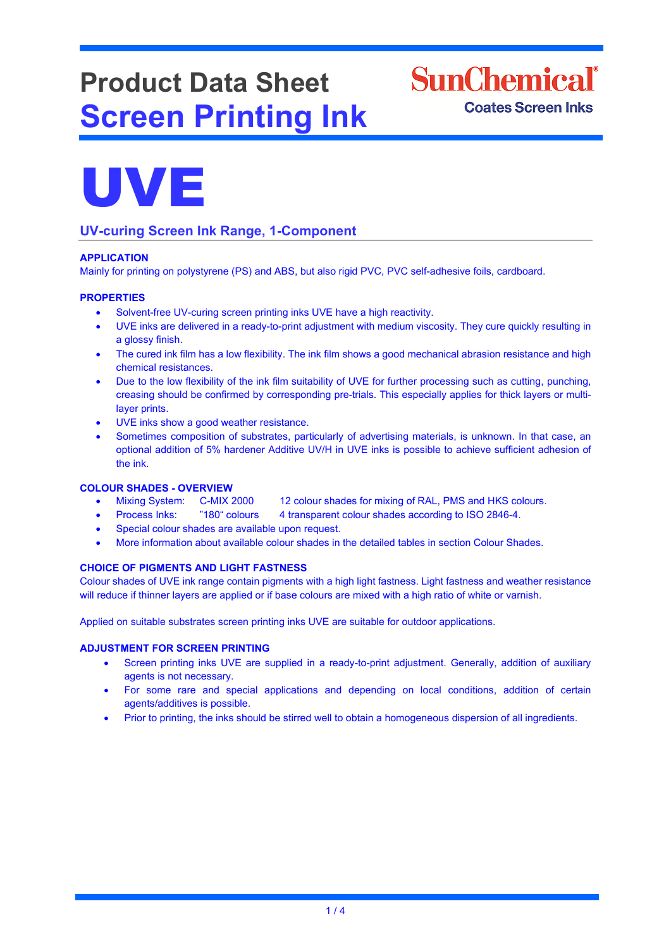# **Product Data Sheet Screen Printing Ink**

**SunChemical**<sup>®</sup> **Coates Screen Inks** 



### **UV-curing Screen Ink Range, 1-Component**

#### **APPLICATION**

Mainly for printing on polystyrene (PS) and ABS, but also rigid PVC, PVC self-adhesive foils, cardboard.

#### **PROPERTIES**

- Solvent-free UV-curing screen printing inks UVE have a high reactivity.
- UVE inks are delivered in a ready-to-print adjustment with medium viscosity. They cure quickly resulting in a glossy finish.
- The cured ink film has a low flexibility. The ink film shows a good mechanical abrasion resistance and high chemical resistances.
- Due to the low flexibility of the ink film suitability of UVE for further processing such as cutting, punching, creasing should be confirmed by corresponding pre-trials. This especially applies for thick layers or multilayer prints.
- UVE inks show a good weather resistance.
- Sometimes composition of substrates, particularly of advertising materials, is unknown. In that case, an optional addition of 5% hardener Additive UV/H in UVE inks is possible to achieve sufficient adhesion of the ink.

## **COLOUR SHADES - OVERVIEW**

- 12 colour shades for mixing of RAL, PMS and HKS colours.
- Process Inks: "180" colours 4 transparent colour shades according to ISO 2846-4.
- Special colour shades are available upon request.
- More information about available colour shades in the detailed tables in section Colour Shades.

#### **CHOICE OF PIGMENTS AND LIGHT FASTNESS**

Colour shades of UVE ink range contain pigments with a high light fastness. Light fastness and weather resistance will reduce if thinner layers are applied or if base colours are mixed with a high ratio of white or varnish.

Applied on suitable substrates screen printing inks UVE are suitable for outdoor applications.

#### **ADJUSTMENT FOR SCREEN PRINTING**

- Screen printing inks UVE are supplied in a ready-to-print adjustment. Generally, addition of auxiliary agents is not necessary.
- For some rare and special applications and depending on local conditions, addition of certain agents/additives is possible.
- Prior to printing, the inks should be stirred well to obtain a homogeneous dispersion of all ingredients.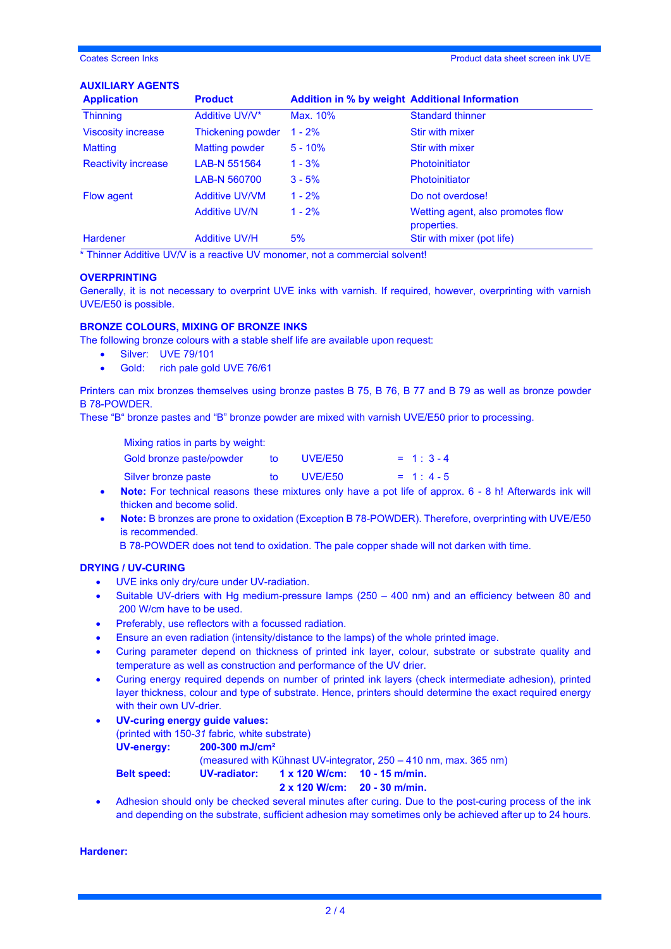#### **AUXILIARY AGENTS**

| <b>Application</b>         | <b>Product</b>        | <b>Addition in % by weight Additional Information</b> |                                                  |
|----------------------------|-----------------------|-------------------------------------------------------|--------------------------------------------------|
| <b>Thinning</b>            | Additive UV/V*        | Max. 10%                                              | <b>Standard thinner</b>                          |
| <b>Viscosity increase</b>  | Thickening powder     | $1 - 2%$                                              | Stir with mixer                                  |
| <b>Matting</b>             | <b>Matting powder</b> | $5 - 10%$                                             | Stir with mixer                                  |
| <b>Reactivity increase</b> | LAB-N 551564          | $1 - 3%$                                              | <b>Photoinitiator</b>                            |
|                            | LAB-N 560700          | $3 - 5%$                                              | <b>Photoinitiator</b>                            |
| Flow agent                 | <b>Additive UV/VM</b> | $1 - 2%$                                              | Do not overdose!                                 |
|                            | <b>Additive UV/N</b>  | $1 - 2%$                                              | Wetting agent, also promotes flow<br>properties. |
| <b>Hardener</b>            | <b>Additive UV/H</b>  | 5%                                                    | Stir with mixer (pot life)                       |

\* Thinner Additive UV/V is a reactive UV monomer, not a commercial solvent!

#### **OVERPRINTING**

Generally, it is not necessary to overprint UVE inks with varnish. If required, however, overprinting with varnish UVE/E50 is possible.

#### **BRONZE COLOURS, MIXING OF BRONZE INKS**

The following bronze colours with a stable shelf life are available upon request:

- Silver: UVE 79/101
- Gold: rich pale gold UVE 76/61

Printers can mix bronzes themselves using bronze pastes B 75, B 76, B 77 and B 79 as well as bronze powder B 78-POWDER.

These "B" bronze pastes and "B" bronze powder are mixed with varnish UVE/E50 prior to processing.

| Mixing ratios in parts by weight: |     |         |            |
|-----------------------------------|-----|---------|------------|
| Gold bronze paste/powder          | to  | UVE/E50 | $= 1:3-4$  |
| Silver bronze paste               | to. | UVE/E50 | $= 1: 4-5$ |

- **Note:** For technical reasons these mixtures only have a pot life of approx. 6 8 h! Afterwards ink will thicken and become solid.
- **Note:** B bronzes are prone to oxidation (Exception B 78-POWDER). Therefore, overprinting with UVE/E50 is recommended.

B 78-POWDER does not tend to oxidation. The pale copper shade will not darken with time.

#### **DRYING / UV-CURING**

- UVE inks only dry/cure under UV-radiation.
- Suitable UV-driers with Hg medium-pressure lamps (250 400 nm) and an efficiency between 80 and 200 W/cm have to be used.
- Preferably, use reflectors with a focussed radiation.
- Ensure an even radiation (intensity/distance to the lamps) of the whole printed image.
- Curing parameter depend on thickness of printed ink layer, colour, substrate or substrate quality and temperature as well as construction and performance of the UV drier.
- Curing energy required depends on number of printed ink layers (check intermediate adhesion), printed layer thickness, colour and type of substrate. Hence, printers should determine the exact required energy with their own UV-drier.
- **UV-curing energy guide values:**  (printed with 150-*31* fabric*,* white substrate) **UV-energy: 200-300 mJ/cm²** (measured with Kühnast UV-integrator, 250 – 410 nm, max. 365 nm) **Belt speed: UV-radiator: 1 x 120 W/cm: 10 - 15 m/min.**

**2 x 120 W/cm: 20 - 30 m/min.**

• Adhesion should only be checked several minutes after curing. Due to the post-curing process of the ink and depending on the substrate, sufficient adhesion may sometimes only be achieved after up to 24 hours.

**Hardener:**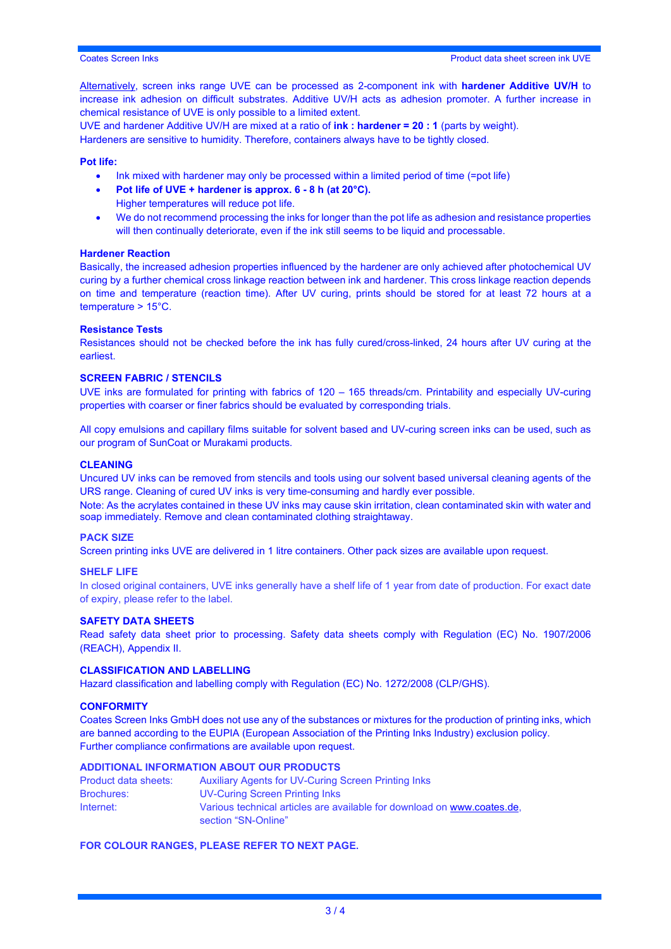Alternatively, screen inks range UVE can be processed as 2-component ink with **hardener Additive UV/H** to increase ink adhesion on difficult substrates. Additive UV/H acts as adhesion promoter. A further increase in chemical resistance of UVE is only possible to a limited extent.

UVE and hardener Additive UV/H are mixed at a ratio of **ink : hardener = 20 : 1** (parts by weight). Hardeners are sensitive to humidity. Therefore, containers always have to be tightly closed.

#### **Pot life:**

- Ink mixed with hardener may only be processed within a limited period of time (=pot life)
- **Pot life of UVE + hardener is approx. 6 - 8 h (at 20°C).**
	- Higher temperatures will reduce pot life.
- We do not recommend processing the inks for longer than the pot life as adhesion and resistance properties will then continually deteriorate, even if the ink still seems to be liquid and processable.

#### **Hardener Reaction**

Basically, the increased adhesion properties influenced by the hardener are only achieved after photochemical UV curing by a further chemical cross linkage reaction between ink and hardener. This cross linkage reaction depends on time and temperature (reaction time). After UV curing, prints should be stored for at least 72 hours at a temperature > 15°C.

#### **Resistance Tests**

Resistances should not be checked before the ink has fully cured/cross-linked, 24 hours after UV curing at the earliest.

#### **SCREEN FABRIC / STENCILS**

UVE inks are formulated for printing with fabrics of 120 – 165 threads/cm. Printability and especially UV-curing properties with coarser or finer fabrics should be evaluated by corresponding trials.

All copy emulsions and capillary films suitable for solvent based and UV-curing screen inks can be used, such as our program of SunCoat or Murakami products.

#### **CLEANING**

Uncured UV inks can be removed from stencils and tools using our solvent based universal cleaning agents of the URS range. Cleaning of cured UV inks is very time-consuming and hardly ever possible.

Note: As the acrylates contained in these UV inks may cause skin irritation, clean contaminated skin with water and soap immediately. Remove and clean contaminated clothing straightaway.

#### **PACK SIZE**

Screen printing inks UVE are delivered in 1 litre containers. Other pack sizes are available upon request.

#### **SHELF LIFE**

In closed original containers, UVE inks generally have a shelf life of 1 year from date of production. For exact date of expiry, please refer to the label.

#### **SAFETY DATA SHEETS**

Read safety data sheet prior to processing. Safety data sheets comply with Regulation (EC) No. 1907/2006 (REACH), Appendix II.

#### **CLASSIFICATION AND LABELLING**

Hazard classification and labelling comply with Regulation (EC) No. 1272/2008 (CLP/GHS).

#### **CONFORMITY**

Coates Screen Inks GmbH does not use any of the substances or mixtures for the production of printing inks, which are banned according to the EUPIA (European Association of the Printing Inks Industry) exclusion policy. Further compliance confirmations are available upon request.

#### **ADDITIONAL INFORMATION ABOUT OUR PRODUCTS**

| Product data sheets: | <b>Auxiliary Agents for UV-Curing Screen Printing Inks</b>                                     |
|----------------------|------------------------------------------------------------------------------------------------|
| <b>Brochures:</b>    | UV-Curing Screen Printing Inks                                                                 |
| Internet:            | Various technical articles are available for download on www.coates.de.<br>section "SN-Online" |

#### **FOR COLOUR RANGES, PLEASE REFER TO NEXT PAGE.**